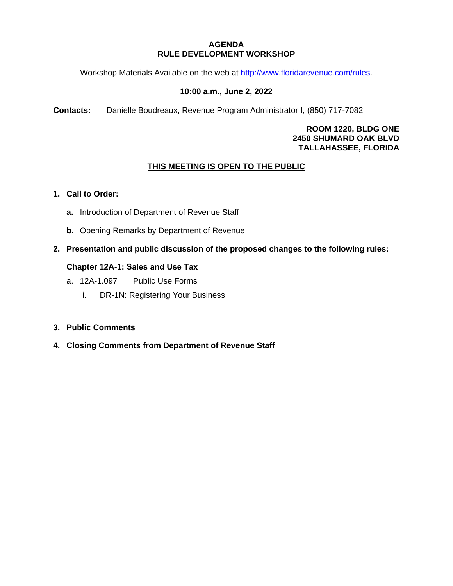### **AGENDA RULE DEVELOPMENT WORKSHOP**

Workshop Materials Available on the web at [http://www.floridarevenue.com/rules.](http://www.floridarevenue.com/rules)

# **10:00 a.m., June 2, 2022**

**Contacts:** Danielle Boudreaux, Revenue Program Administrator I, (850) 717-7082

**ROOM 1220, BLDG ONE 2450 SHUMARD OAK BLVD TALLAHASSEE, FLORIDA**

# **THIS MEETING IS OPEN TO THE PUBLIC**

#### **1. Call to Order:**

- **a.** Introduction of Department of Revenue Staff
- **b.** Opening Remarks by Department of Revenue
- **2. Presentation and public discussion of the proposed changes to the following rules:**

#### **Chapter 12A-1: Sales and Use Tax**

- a. 12A-1.097 Public Use Forms
	- i. DR-1N: Registering Your Business
- **3. Public Comments**
- **4. Closing Comments from Department of Revenue Staff**